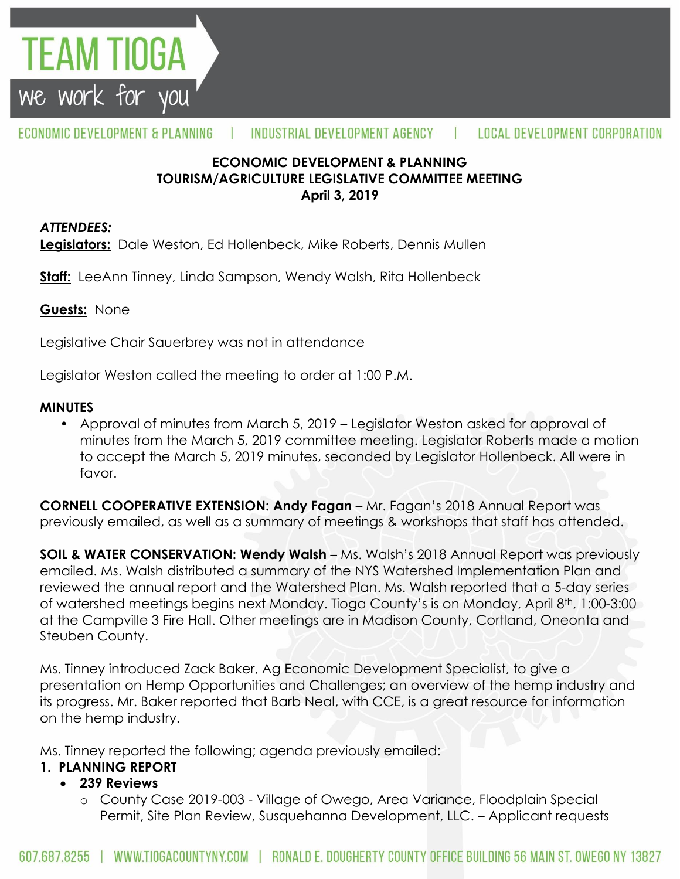

#### ECONOMIC DEVELOPMENT & PLANNING INDUSTRIAL DEVELOPMENT AGENCY т. **LOCAL DEVELOPMENT CORPORATION**

## **ECONOMIC DEVELOPMENT & PLANNING TOURISM/AGRICULTURE LEGISLATIVE COMMITTEE MEETING April 3, 2019**

#### *ATTENDEES:*

**Legislators:** Dale Weston, Ed Hollenbeck, Mike Roberts, Dennis Mullen

**Staff:** LeeAnn Tinney, Linda Sampson, Wendy Walsh, Rita Hollenbeck

## **Guests:** None

Legislative Chair Sauerbrey was not in attendance

Legislator Weston called the meeting to order at 1:00 P.M.

## **MINUTES**

• Approval of minutes from March 5, 2019 – Legislator Weston asked for approval of minutes from the March 5, 2019 committee meeting. Legislator Roberts made a motion to accept the March 5, 2019 minutes, seconded by Legislator Hollenbeck. All were in favor.

**CORNELL COOPERATIVE EXTENSION: Andy Fagan** – Mr. Fagan's 2018 Annual Report was previously emailed, as well as a summary of meetings & workshops that staff has attended.

**SOIL & WATER CONSERVATION: Wendy Walsh** – Ms. Walsh's 2018 Annual Report was previously emailed. Ms. Walsh distributed a summary of the NYS Watershed Implementation Plan and reviewed the annual report and the Watershed Plan. Ms. Walsh reported that a 5-day series of watershed meetings begins next Monday. Tioga County's is on Monday, April 8th, 1:00-3:00 at the Campville 3 Fire Hall. Other meetings are in Madison County, Cortland, Oneonta and Steuben County.

Ms. Tinney introduced Zack Baker, Ag Economic Development Specialist, to give a presentation on Hemp Opportunities and Challenges; an overview of the hemp industry and its progress. Mr. Baker reported that Barb Neal, with CCE, is a great resource for information on the hemp industry.

Ms. Tinney reported the following; agenda previously emailed:

# **1. PLANNING REPORT**

# **239 Reviews**

o County Case 2019-003 - Village of Owego, Area Variance, Floodplain Special Permit, Site Plan Review, Susquehanna Development, LLC. – Applicant requests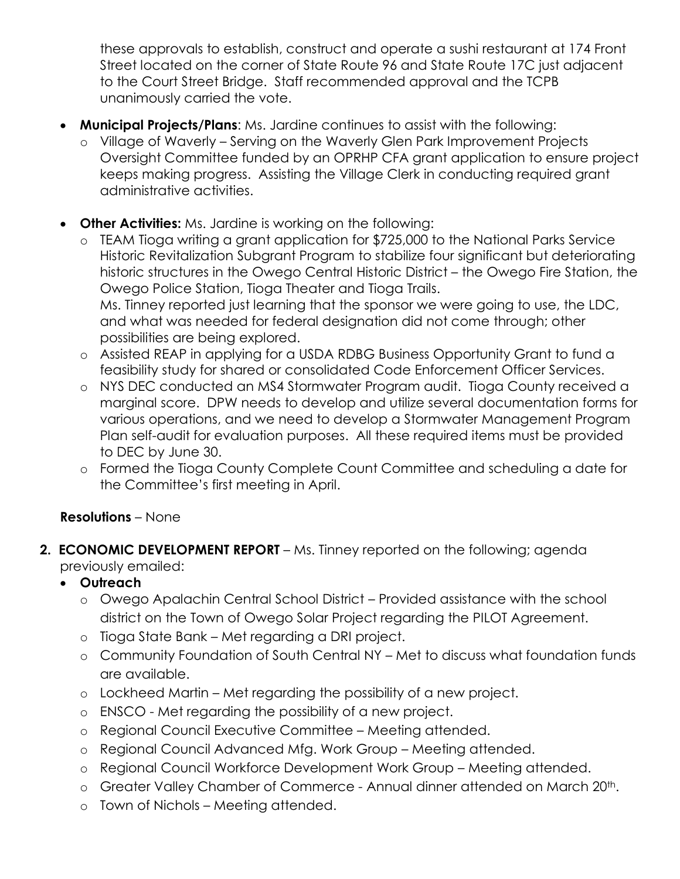these approvals to establish, construct and operate a sushi restaurant at 174 Front Street located on the corner of State Route 96 and State Route 17C just adjacent to the Court Street Bridge. Staff recommended approval and the TCPB unanimously carried the vote.

- **Municipal Projects/Plans**: Ms. Jardine continues to assist with the following:
	- o Village of Waverly Serving on the Waverly Glen Park Improvement Projects Oversight Committee funded by an OPRHP CFA grant application to ensure project keeps making progress. Assisting the Village Clerk in conducting required grant administrative activities.
- **Other Activities:** Ms. Jardine is working on the following:
	- o TEAM Tioga writing a grant application for \$725,000 to the National Parks Service Historic Revitalization Subgrant Program to stabilize four significant but deteriorating historic structures in the Owego Central Historic District – the Owego Fire Station, the Owego Police Station, Tioga Theater and Tioga Trails. Ms. Tinney reported just learning that the sponsor we were going to use, the LDC, and what was needed for federal designation did not come through; other possibilities are being explored.
	- o Assisted REAP in applying for a USDA RDBG Business Opportunity Grant to fund a feasibility study for shared or consolidated Code Enforcement Officer Services.
	- o NYS DEC conducted an MS4 Stormwater Program audit. Tioga County received a marginal score. DPW needs to develop and utilize several documentation forms for various operations, and we need to develop a Stormwater Management Program Plan self-audit for evaluation purposes. All these required items must be provided to DEC by June 30.
	- o Formed the Tioga County Complete Count Committee and scheduling a date for the Committee's first meeting in April.

# **Resolutions** – None

**2. ECONOMIC DEVELOPMENT REPORT** – Ms. Tinney reported on the following; agenda previously emailed:

# **Outreach**

- o Owego Apalachin Central School District Provided assistance with the school district on the Town of Owego Solar Project regarding the PILOT Agreement.
- o Tioga State Bank Met regarding a DRI project.
- o Community Foundation of South Central NY Met to discuss what foundation funds are available.
- o Lockheed Martin Met regarding the possibility of a new project.
- o ENSCO Met regarding the possibility of a new project.
- o Regional Council Executive Committee Meeting attended.
- o Regional Council Advanced Mfg. Work Group Meeting attended.
- o Regional Council Workforce Development Work Group Meeting attended.
- o Greater Valley Chamber of Commerce Annual dinner attended on March 20<sup>th</sup>.
- o Town of Nichols Meeting attended.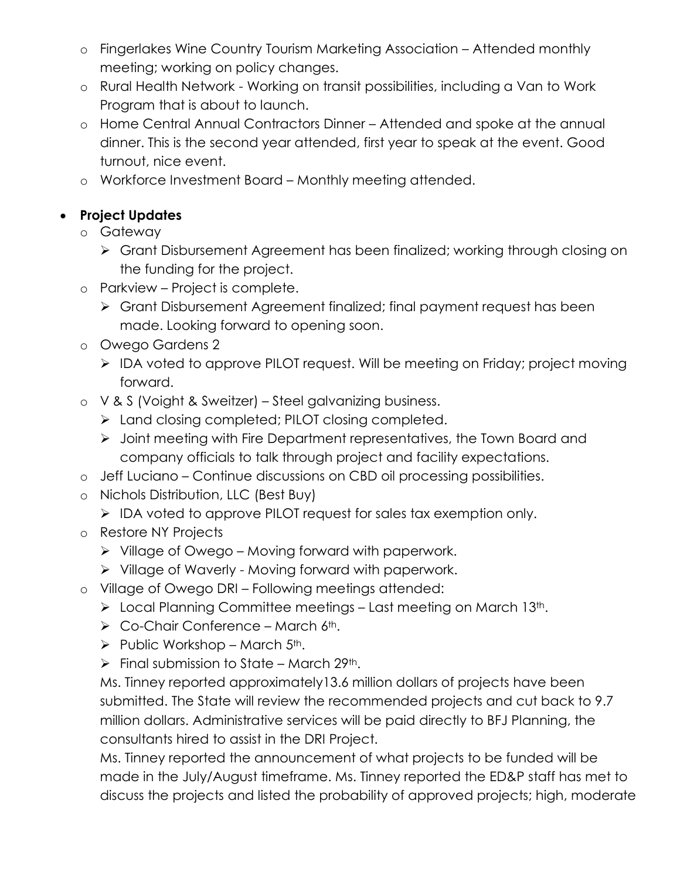- o Fingerlakes Wine Country Tourism Marketing Association Attended monthly meeting; working on policy changes.
- o Rural Health Network Working on transit possibilities, including a Van to Work Program that is about to launch.
- o Home Central Annual Contractors Dinner Attended and spoke at the annual dinner. This is the second year attended, first year to speak at the event. Good turnout, nice event.
- o Workforce Investment Board Monthly meeting attended.

# **Project Updates**

- o Gateway
	- Grant Disbursement Agreement has been finalized; working through closing on the funding for the project.
- o Parkview Project is complete.
	- Grant Disbursement Agreement finalized; final payment request has been made. Looking forward to opening soon.
- o Owego Gardens 2
	- ▶ IDA voted to approve PILOT request. Will be meeting on Friday; project moving forward.
- o V & S (Voight & Sweitzer) Steel galvanizing business.
	- > Land closing completed; PILOT closing completed.
	- Joint meeting with Fire Department representatives, the Town Board and company officials to talk through project and facility expectations.
- o Jeff Luciano Continue discussions on CBD oil processing possibilities.
- o Nichols Distribution, LLC (Best Buy)
	- IDA voted to approve PILOT request for sales tax exemption only.
- o Restore NY Projects
	- $\triangleright$  Village of Owego Moving forward with paperwork.
	- $\triangleright$  Village of Waverly Moving forward with paperwork.
- o Village of Owego DRI Following meetings attended:
	- $\triangleright$  Local Planning Committee meetings Last meeting on March 13th.
	- $\triangleright$  Co-Chair Conference March 6<sup>th</sup>.
	- $\triangleright$  Public Workshop March 5<sup>th</sup>.
	- $\triangleright$  Final submission to State March 29<sup>th</sup>.

Ms. Tinney reported approximately13.6 million dollars of projects have been submitted. The State will review the recommended projects and cut back to 9.7 million dollars. Administrative services will be paid directly to BFJ Planning, the consultants hired to assist in the DRI Project.

Ms. Tinney reported the announcement of what projects to be funded will be made in the July/August timeframe. Ms. Tinney reported the ED&P staff has met to discuss the projects and listed the probability of approved projects; high, moderate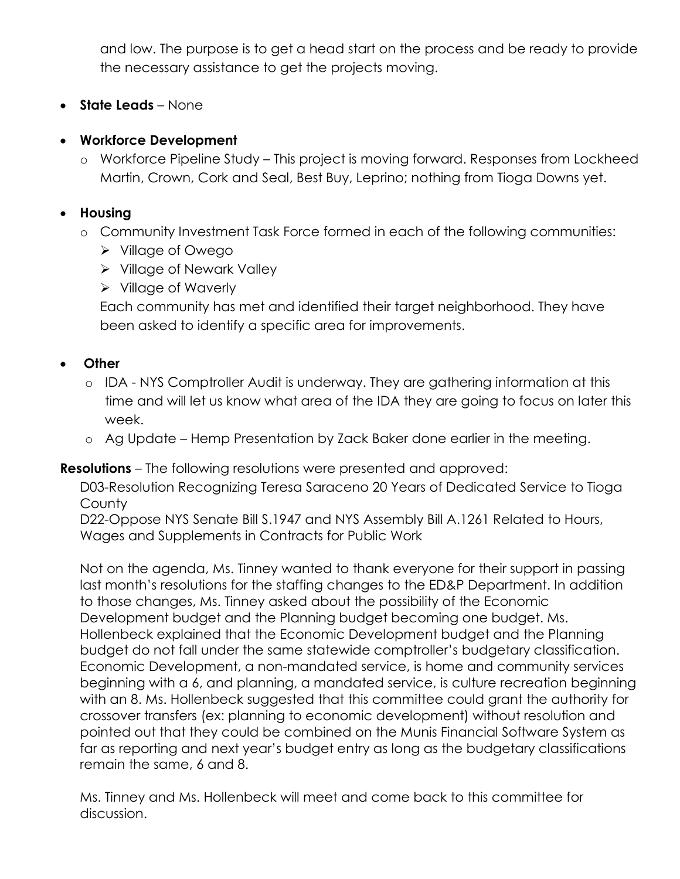and low. The purpose is to get a head start on the process and be ready to provide the necessary assistance to get the projects moving.

**State Leads** – None

# **Workforce Development**

o Workforce Pipeline Study – This project is moving forward. Responses from Lockheed Martin, Crown, Cork and Seal, Best Buy, Leprino; nothing from Tioga Downs yet.

## **Housing**

- o Community Investment Task Force formed in each of the following communities:
	- Village of Owego
	- **▶ Village of Newark Valley**
	- $\triangleright$  Village of Waverly

Each community has met and identified their target neighborhood. They have been asked to identify a specific area for improvements.

## **Other**

- o IDA NYS Comptroller Audit is underway. They are gathering information at this time and will let us know what area of the IDA they are going to focus on later this week.
- o Ag Update Hemp Presentation by Zack Baker done earlier in the meeting.

## **Resolutions** – The following resolutions were presented and approved:

D03-Resolution Recognizing Teresa Saraceno 20 Years of Dedicated Service to Tioga **County** 

D22-Oppose NYS Senate Bill S.1947 and NYS Assembly Bill A.1261 Related to Hours, Wages and Supplements in Contracts for Public Work

Not on the agenda, Ms. Tinney wanted to thank everyone for their support in passing last month's resolutions for the staffing changes to the ED&P Department. In addition to those changes, Ms. Tinney asked about the possibility of the Economic Development budget and the Planning budget becoming one budget. Ms. Hollenbeck explained that the Economic Development budget and the Planning budget do not fall under the same statewide comptroller's budgetary classification. Economic Development, a non-mandated service, is home and community services beginning with a 6, and planning, a mandated service, is culture recreation beginning with an 8. Ms. Hollenbeck suggested that this committee could grant the authority for crossover transfers (ex: planning to economic development) without resolution and pointed out that they could be combined on the Munis Financial Software System as far as reporting and next year's budget entry as long as the budgetary classifications remain the same, 6 and 8.

Ms. Tinney and Ms. Hollenbeck will meet and come back to this committee for discussion.